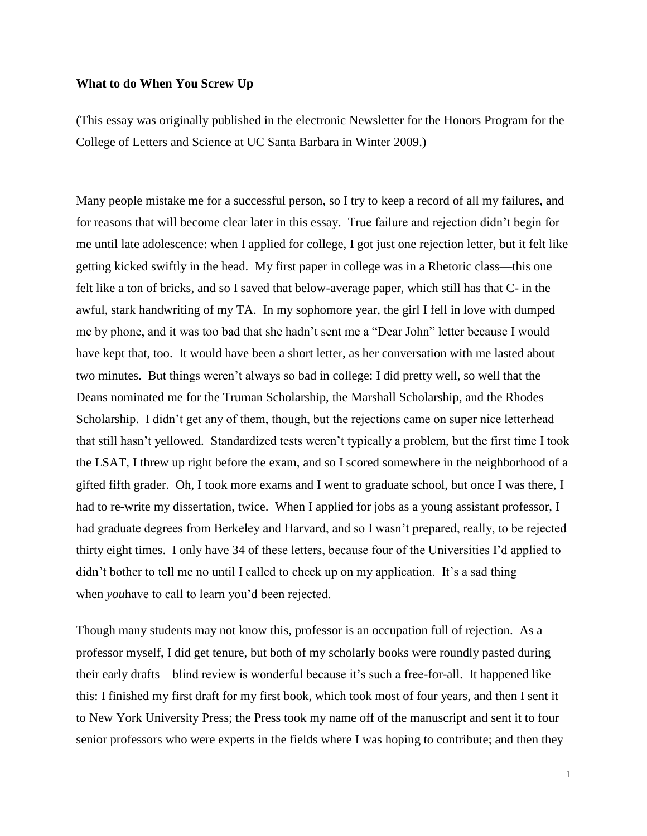## **What to do When You Screw Up**

(This essay was originally published in the electronic Newsletter for the Honors Program for the College of Letters and Science at UC Santa Barbara in Winter 2009.)

Many people mistake me for a successful person, so I try to keep a record of all my failures, and for reasons that will become clear later in this essay. True failure and rejection didn't begin for me until late adolescence: when I applied for college, I got just one rejection letter, but it felt like getting kicked swiftly in the head. My first paper in college was in a Rhetoric class—this one felt like a ton of bricks, and so I saved that below-average paper, which still has that C- in the awful, stark handwriting of my TA. In my sophomore year, the girl I fell in love with dumped me by phone, and it was too bad that she hadn't sent me a "Dear John" letter because I would have kept that, too. It would have been a short letter, as her conversation with me lasted about two minutes. But things weren't always so bad in college: I did pretty well, so well that the Deans nominated me for the Truman Scholarship, the Marshall Scholarship, and the Rhodes Scholarship. I didn't get any of them, though, but the rejections came on super nice letterhead that still hasn't yellowed. Standardized tests weren't typically a problem, but the first time I took the LSAT, I threw up right before the exam, and so I scored somewhere in the neighborhood of a gifted fifth grader. Oh, I took more exams and I went to graduate school, but once I was there, I had to re-write my dissertation, twice. When I applied for jobs as a young assistant professor, I had graduate degrees from Berkeley and Harvard, and so I wasn't prepared, really, to be rejected thirty eight times. I only have 34 of these letters, because four of the Universities I'd applied to didn't bother to tell me no until I called to check up on my application. It's a sad thing when *you*have to call to learn you'd been rejected.

Though many students may not know this, professor is an occupation full of rejection. As a professor myself, I did get tenure, but both of my scholarly books were roundly pasted during their early drafts—blind review is wonderful because it's such a free-for-all. It happened like this: I finished my first draft for my first book, which took most of four years, and then I sent it to New York University Press; the Press took my name off of the manuscript and sent it to four senior professors who were experts in the fields where I was hoping to contribute; and then they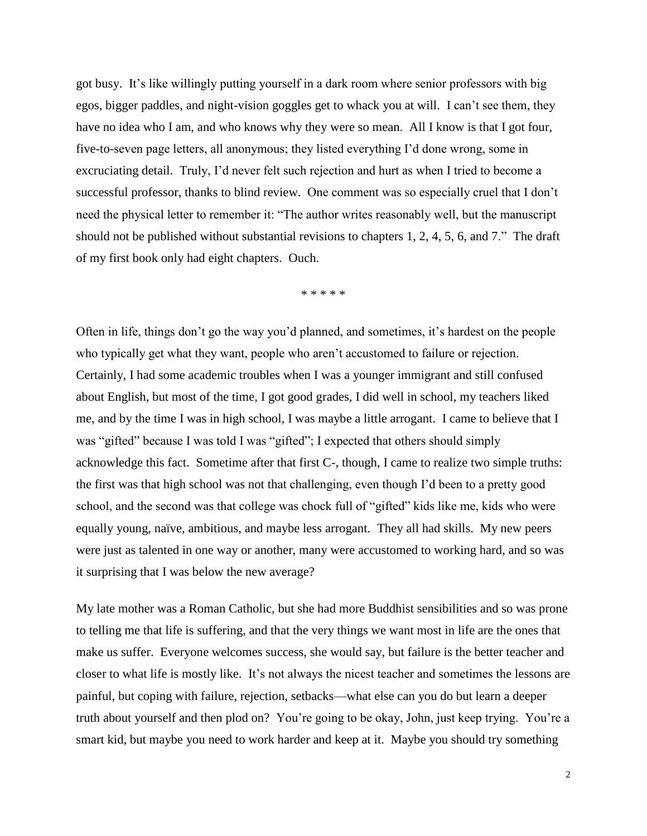got busy. It's like willingly putting yourself in a dark room where senior professors with big egos, bigger paddles, and night-vision goggles get to whack you at will. I can't see them, they have no idea who I am, and who knows why they were so mean. All I know is that I got four, five-to-seven page letters, all anonymous; they listed everything I'd done wrong, some in excruciating detail. Truly, I'd never felt such rejection and hurt as when I tried to become a successful professor, thanks to blind review. One comment was so especially cruel that I don't need the physical letter to remember it: "The author writes reasonably well, but the manuscript should not be published without substantial revisions to chapters 1, 2, 4, 5, 6, and 7." The draft of my first book only had eight chapters. Ouch.

\* \* \* \* \*

Often in life, things don't go the way you'd planned, and sometimes, it's hardest on the people who typically get what they want, people who aren't accustomed to failure or rejection. Certainly, I had some academic troubles when I was a younger immigrant and still confused about English, but most of the time, I got good grades, I did well in school, my teachers liked me, and by the time I was in high school, I was maybe a little arrogant. I came to believe that I was "gifted" because I was told I was "gifted"; I expected that others should simply acknowledge this fact. Sometime after that first C-, though, I came to realize two simple truths: the first was that high school was not that challenging, even though I'd been to a pretty good school, and the second was that college was chock full of "gifted" kids like me, kids who were equally young, naïve, ambitious, and maybe less arrogant. They all had skills. My new peers were just as talented in one way or another, many were accustomed to working hard, and so was it surprising that I was below the new average?

My late mother was a Roman Catholic, but she had more Buddhist sensibilities and so was prone to telling me that life is suffering, and that the very things we want most in life are the ones that make us suffer. Everyone welcomes success, she would say, but failure is the better teacher and closer to what life is mostly like. It's not always the nicest teacher and sometimes the lessons are painful, but coping with failure, rejection, setbacks—what else can you do but learn a deeper truth about yourself and then plod on? You're going to be okay, John, just keep trying. You're a smart kid, but maybe you need to work harder and keep at it. Maybe you should try something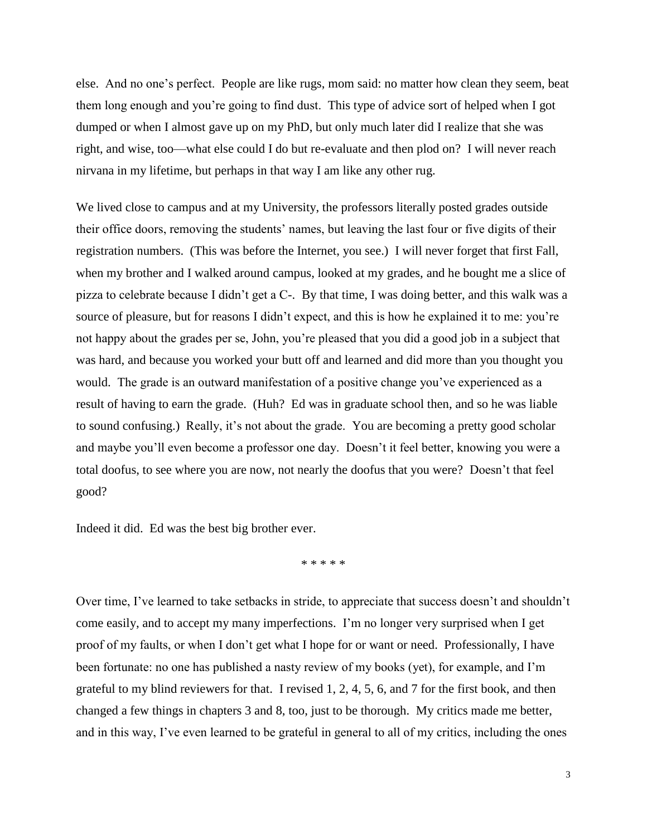else. And no one's perfect. People are like rugs, mom said: no matter how clean they seem, beat them long enough and you're going to find dust. This type of advice sort of helped when I got dumped or when I almost gave up on my PhD, but only much later did I realize that she was right, and wise, too—what else could I do but re-evaluate and then plod on? I will never reach nirvana in my lifetime, but perhaps in that way I am like any other rug.

We lived close to campus and at my University, the professors literally posted grades outside their office doors, removing the students' names, but leaving the last four or five digits of their registration numbers. (This was before the Internet, you see.) I will never forget that first Fall, when my brother and I walked around campus, looked at my grades, and he bought me a slice of pizza to celebrate because I didn't get a C-. By that time, I was doing better, and this walk was a source of pleasure, but for reasons I didn't expect, and this is how he explained it to me: you're not happy about the grades per se, John, you're pleased that you did a good job in a subject that was hard, and because you worked your butt off and learned and did more than you thought you would. The grade is an outward manifestation of a positive change you've experienced as a result of having to earn the grade. (Huh? Ed was in graduate school then, and so he was liable to sound confusing.) Really, it's not about the grade. You are becoming a pretty good scholar and maybe you'll even become a professor one day. Doesn't it feel better, knowing you were a total doofus, to see where you are now, not nearly the doofus that you were? Doesn't that feel good?

Indeed it did. Ed was the best big brother ever.

\* \* \* \* \*

Over time, I've learned to take setbacks in stride, to appreciate that success doesn't and shouldn't come easily, and to accept my many imperfections. I'm no longer very surprised when I get proof of my faults, or when I don't get what I hope for or want or need. Professionally, I have been fortunate: no one has published a nasty review of my books (yet), for example, and I'm grateful to my blind reviewers for that. I revised 1, 2, 4, 5, 6, and 7 for the first book, and then changed a few things in chapters 3 and 8, too, just to be thorough. My critics made me better, and in this way, I've even learned to be grateful in general to all of my critics, including the ones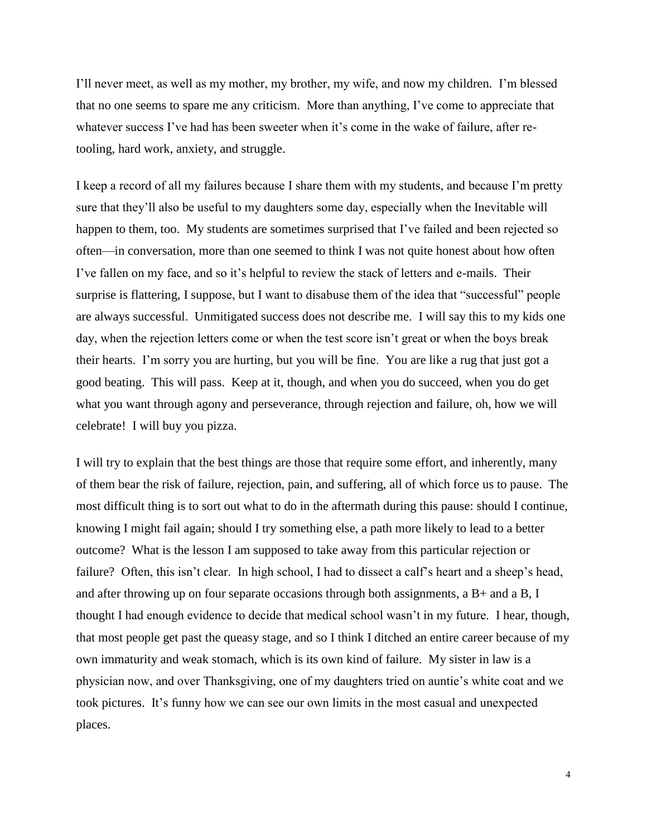I'll never meet, as well as my mother, my brother, my wife, and now my children. I'm blessed that no one seems to spare me any criticism. More than anything, I've come to appreciate that whatever success I've had has been sweeter when it's come in the wake of failure, after retooling, hard work, anxiety, and struggle.

I keep a record of all my failures because I share them with my students, and because I'm pretty sure that they'll also be useful to my daughters some day, especially when the Inevitable will happen to them, too. My students are sometimes surprised that I've failed and been rejected so often—in conversation, more than one seemed to think I was not quite honest about how often I've fallen on my face, and so it's helpful to review the stack of letters and e-mails. Their surprise is flattering, I suppose, but I want to disabuse them of the idea that "successful" people are always successful. Unmitigated success does not describe me. I will say this to my kids one day, when the rejection letters come or when the test score isn't great or when the boys break their hearts. I'm sorry you are hurting, but you will be fine. You are like a rug that just got a good beating. This will pass. Keep at it, though, and when you do succeed, when you do get what you want through agony and perseverance, through rejection and failure, oh, how we will celebrate! I will buy you pizza.

I will try to explain that the best things are those that require some effort, and inherently, many of them bear the risk of failure, rejection, pain, and suffering, all of which force us to pause. The most difficult thing is to sort out what to do in the aftermath during this pause: should I continue, knowing I might fail again; should I try something else, a path more likely to lead to a better outcome? What is the lesson I am supposed to take away from this particular rejection or failure? Often, this isn't clear. In high school, I had to dissect a calf's heart and a sheep's head, and after throwing up on four separate occasions through both assignments, a B+ and a B, I thought I had enough evidence to decide that medical school wasn't in my future. I hear, though, that most people get past the queasy stage, and so I think I ditched an entire career because of my own immaturity and weak stomach, which is its own kind of failure. My sister in law is a physician now, and over Thanksgiving, one of my daughters tried on auntie's white coat and we took pictures. It's funny how we can see our own limits in the most casual and unexpected places.